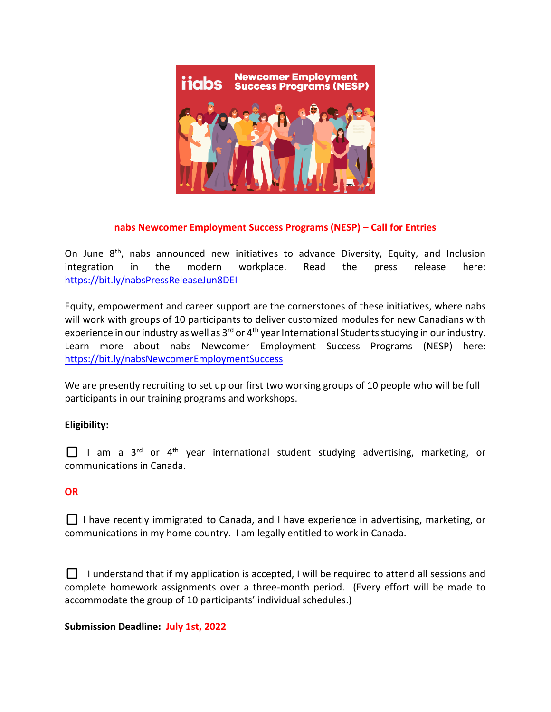

## **nabs Newcomer Employment Success Programs (NESP) – Call for Entries**

On June  $8<sup>th</sup>$ , nabs announced new initiatives to advance Diversity, Equity, and Inclusion integration in the modern workplace. Read the press release here: <https://bit.ly/nabsPressReleaseJun8DEI>

Equity, empowerment and career support are the cornerstones of these initiatives, where nabs will work with groups of 10 participants to deliver customized modules for new Canadians with experience in our industry as well as 3<sup>rd</sup> or 4<sup>th</sup> year International Students studying in our industry. Learn more about nabs Newcomer Employment Success Programs (NESP) here: <https://bit.ly/nabsNewcomerEmploymentSuccess>

We are presently recruiting to set up our first two working groups of 10 people who will be full participants in our training programs and workshops.

# **Eligibility:**

 $\Box$  I am a 3<sup>rd</sup> or 4<sup>th</sup> year international student studying advertising, marketing, or communications in Canada.

### **OR**

 $\Box$  I have recently immigrated to Canada, and I have experience in advertising, marketing, or communications in my home country. I am legally entitled to work in Canada.

 $\Box$  I understand that if my application is accepted, I will be required to attend all sessions and complete homework assignments over a three-month period. (Every effort will be made to accommodate the group of 10 participants' individual schedules.)

### **Submission Deadline: July 1st, 2022**